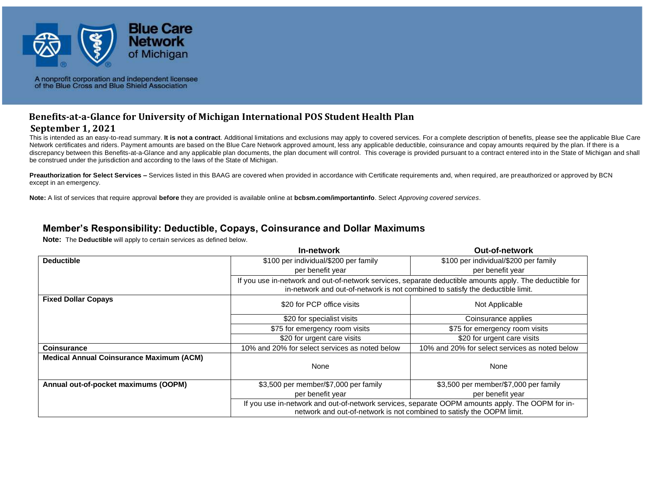

# **Benefits-at-a-Glance for University of Michigan International POS Student Health Plan**

#### **September 1, 2021**

This is intended as an easy-to-read summary. It is not a contract. Additional limitations and exclusions may apply to covered services. For a complete description of benefits, please see the applicable Blue Care Network certificates and riders. Payment amounts are based on the Blue Care Network approved amount, less any applicable deductible, coinsurance and copay amounts required by the plan. If there is a discrepancy between this Benefits-at-a-Glance and any applicable plan documents, the plan document will control. This coverage is provided pursuant to a contract entered into in the State of Michigan and shall be construed under the jurisdiction and according to the laws of the State of Michigan.

**Preauthorization for Select Services –** Services listed in this BAAG are covered when provided in accordance with Certificate requirements and, when required, are preauthorized or approved by BCN except in an emergency.

**Note:** A list of services that require approval **before** they are provided is available online at **bcbsm.com/importantinfo**. Select *Approving covered services*.

#### **Member's Responsibility: Deductible, Copays, Coinsurance and Dollar Maximums**

**Note:** The **Deductible** will apply to certain services as defined below.

|                                                 | In-network                                                                                                                                                                                 | <b>Out-of-network</b>                          |
|-------------------------------------------------|--------------------------------------------------------------------------------------------------------------------------------------------------------------------------------------------|------------------------------------------------|
| <b>Deductible</b>                               | \$100 per individual/\$200 per family                                                                                                                                                      | \$100 per individual/\$200 per family          |
|                                                 | per benefit year                                                                                                                                                                           | per benefit year                               |
|                                                 | If you use in-network and out-of-network services, separate deductible amounts apply. The deductible for<br>in-network and out-of-network is not combined to satisfy the deductible limit. |                                                |
| <b>Fixed Dollar Copays</b>                      | \$20 for PCP office visits                                                                                                                                                                 | Not Applicable                                 |
|                                                 | \$20 for specialist visits                                                                                                                                                                 | Coinsurance applies                            |
|                                                 | \$75 for emergency room visits                                                                                                                                                             | \$75 for emergency room visits                 |
|                                                 | \$20 for urgent care visits                                                                                                                                                                | \$20 for urgent care visits                    |
| <b>Coinsurance</b>                              | 10% and 20% for select services as noted below                                                                                                                                             | 10% and 20% for select services as noted below |
| <b>Medical Annual Coinsurance Maximum (ACM)</b> | None                                                                                                                                                                                       | None                                           |
| Annual out-of-pocket maximums (OOPM)            | \$3,500 per member/\$7,000 per family                                                                                                                                                      | \$3,500 per member/\$7,000 per family          |
|                                                 | per benefit year                                                                                                                                                                           | per benefit year                               |
|                                                 | If you use in-network and out-of-network services, separate OOPM amounts apply. The OOPM for in-<br>network and out-of-network is not combined to satisfy the OOPM limit.                  |                                                |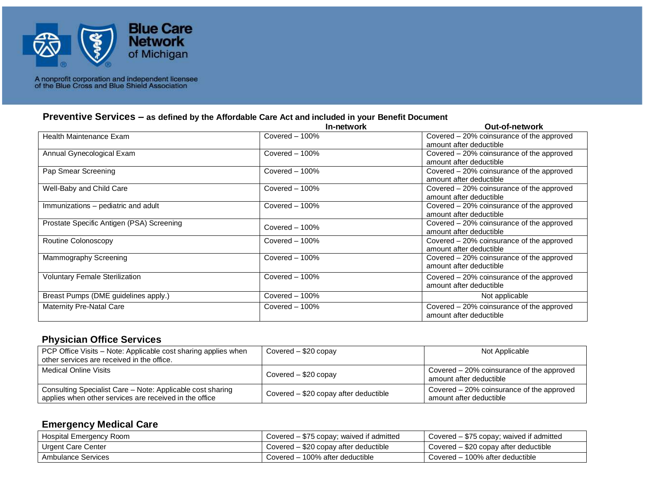

#### **Preventive Services – as defined by the Affordable Care Act and included in your Benefit Document**

|                                           | In-network        | <b>Out-of-network</b>                                                |
|-------------------------------------------|-------------------|----------------------------------------------------------------------|
| Health Maintenance Exam                   | Covered $-100\%$  | Covered – 20% coinsurance of the approved<br>amount after deductible |
| Annual Gynecological Exam                 | Covered $-100\%$  | Covered – 20% coinsurance of the approved<br>amount after deductible |
| Pap Smear Screening                       | Covered $-100\%$  | Covered – 20% coinsurance of the approved<br>amount after deductible |
| Well-Baby and Child Care                  | Covered $-100\%$  | Covered – 20% coinsurance of the approved<br>amount after deductible |
| Immunizations – pediatric and adult       | Covered - 100%    | Covered – 20% coinsurance of the approved<br>amount after deductible |
| Prostate Specific Antigen (PSA) Screening | $Covered - 100\%$ | Covered – 20% coinsurance of the approved<br>amount after deductible |
| Routine Colonoscopy                       | Covered $-100\%$  | Covered – 20% coinsurance of the approved<br>amount after deductible |
| Mammography Screening                     | Covered $-100\%$  | Covered – 20% coinsurance of the approved<br>amount after deductible |
| <b>Voluntary Female Sterilization</b>     | Covered $-100\%$  | Covered – 20% coinsurance of the approved<br>amount after deductible |
| Breast Pumps (DME guidelines apply.)      | Covered $-100\%$  | Not applicable                                                       |
| <b>Maternity Pre-Natal Care</b>           | Covered $-100\%$  | Covered – 20% coinsurance of the approved<br>amount after deductible |

#### **Physician Office Services**

| PCP Office Visits – Note: Applicable cost sharing applies when<br>other services are received in the office.         | Covered $-$ \$20 copay                | Not Applicable                                                       |
|----------------------------------------------------------------------------------------------------------------------|---------------------------------------|----------------------------------------------------------------------|
| Medical Online Visits                                                                                                | Covered - \$20 copay                  | Covered - 20% coinsurance of the approved<br>amount after deductible |
| Consulting Specialist Care - Note: Applicable cost sharing<br>applies when other services are received in the office | Covered - \$20 copay after deductible | Covered – 20% coinsurance of the approved<br>amount after deductible |

#### **Emergency Medical Care**

| Hospital Emergency Room | Covered – \$75 copay; waived if admitted | Covered – \$75 copay; waived if admitted |
|-------------------------|------------------------------------------|------------------------------------------|
| Urgent Care Center      | Covered – \$20 copay after deductible    | Covered – \$20 copay after deductible    |
| Ambulance Services      | Covered – 100% after deductible          | Covered – 100% after deductible          |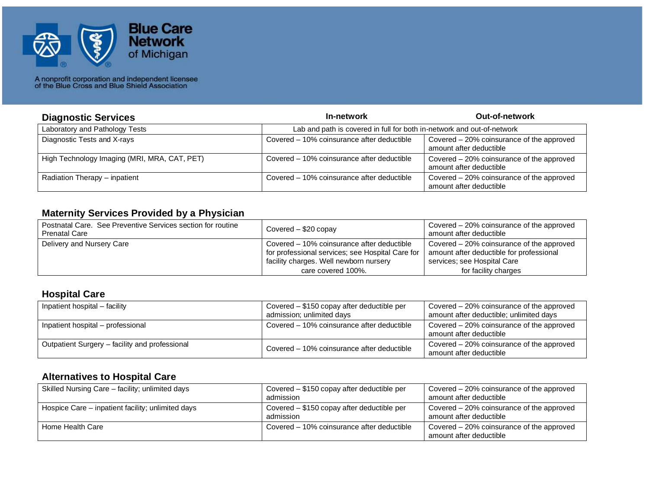

| <b>Diagnostic Services</b>                   | In-network                                                             | <b>Out-of-network</b>                                                |
|----------------------------------------------|------------------------------------------------------------------------|----------------------------------------------------------------------|
| Laboratory and Pathology Tests               | Lab and path is covered in full for both in-network and out-of-network |                                                                      |
| Diagnostic Tests and X-rays                  | Covered - 10% coinsurance after deductible                             | Covered - 20% coinsurance of the approved<br>amount after deductible |
| High Technology Imaging (MRI, MRA, CAT, PET) | Covered – 10% coinsurance after deductible                             | Covered - 20% coinsurance of the approved<br>amount after deductible |
| Radiation Therapy - inpatient                | Covered - 10% coinsurance after deductible                             | Covered - 20% coinsurance of the approved<br>amount after deductible |

#### **Maternity Services Provided by a Physician**

| Postnatal Care. See Preventive Services section for routine<br><b>Prenatal Care</b> | Covered - \$20 copay                                                                                                                     | Covered – 20% coinsurance of the approved<br>amount after deductible                                                 |
|-------------------------------------------------------------------------------------|------------------------------------------------------------------------------------------------------------------------------------------|----------------------------------------------------------------------------------------------------------------------|
| Delivery and Nursery Care                                                           | Covered – 10% coinsurance after deductible<br>for professional services; see Hospital Care for<br>facility charges. Well newborn nursery | Covered – 20% coinsurance of the approved<br>amount after deductible for professional<br>services; see Hospital Care |
|                                                                                     | care covered 100%.                                                                                                                       | for facility charges                                                                                                 |

#### **Hospital Care**

| Inpatient hospital – facility                  | Covered - \$150 copay after deductible per<br>admission; unlimited days | Covered – 20% coinsurance of the approved<br>amount after deductible; unlimited days |
|------------------------------------------------|-------------------------------------------------------------------------|--------------------------------------------------------------------------------------|
| Inpatient hospital - professional              | Covered – 10% coinsurance after deductible                              | Covered – 20% coinsurance of the approved<br>amount after deductible                 |
| Outpatient Surgery – facility and professional | Covered – 10% coinsurance after deductible                              | Covered – 20% coinsurance of the approved<br>amount after deductible                 |

#### **Alternatives to Hospital Care**

| Skilled Nursing Care - facility; unlimited days   | Covered – \$150 copay after deductible per<br>admission | Covered – 20% coinsurance of the approved<br>amount after deductible |
|---------------------------------------------------|---------------------------------------------------------|----------------------------------------------------------------------|
| Hospice Care – inpatient facility; unlimited days | Covered – \$150 copay after deductible per<br>admission | Covered – 20% coinsurance of the approved<br>amount after deductible |
| Home Health Care                                  | Covered – 10% coinsurance after deductible              | Covered – 20% coinsurance of the approved<br>amount after deductible |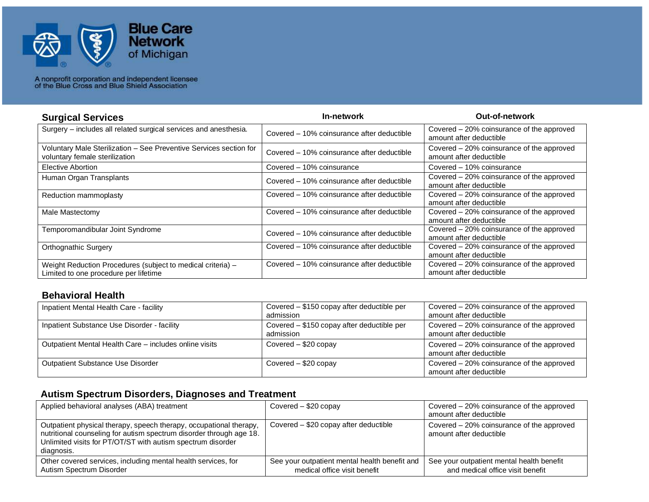

| <b>Surgical Services</b>                                                                             | In-network                                 | <b>Out-of-network</b>                                                |
|------------------------------------------------------------------------------------------------------|--------------------------------------------|----------------------------------------------------------------------|
| Surgery - includes all related surgical services and anesthesia.                                     | Covered – 10% coinsurance after deductible | Covered – 20% coinsurance of the approved<br>amount after deductible |
| Voluntary Male Sterilization - See Preventive Services section for<br>voluntary female sterilization | Covered – 10% coinsurance after deductible | Covered – 20% coinsurance of the approved<br>amount after deductible |
| Elective Abortion                                                                                    | Covered – 10% coinsurance                  | Covered – 10% coinsurance                                            |
| Human Organ Transplants                                                                              | Covered – 10% coinsurance after deductible | Covered – 20% coinsurance of the approved<br>amount after deductible |
| Reduction mammoplasty                                                                                | Covered – 10% coinsurance after deductible | Covered – 20% coinsurance of the approved<br>amount after deductible |
| Male Mastectomy                                                                                      | Covered – 10% coinsurance after deductible | Covered – 20% coinsurance of the approved<br>amount after deductible |
| Temporomandibular Joint Syndrome                                                                     | Covered – 10% coinsurance after deductible | Covered – 20% coinsurance of the approved<br>amount after deductible |
| <b>Orthognathic Surgery</b>                                                                          | Covered – 10% coinsurance after deductible | Covered – 20% coinsurance of the approved<br>amount after deductible |
| Weight Reduction Procedures (subject to medical criteria) -<br>Limited to one procedure per lifetime | Covered – 10% coinsurance after deductible | Covered – 20% coinsurance of the approved<br>amount after deductible |

#### **Behavioral Health**

| Inpatient Mental Health Care - facility                | Covered - \$150 copay after deductible per<br>admission | Covered - 20% coinsurance of the approved<br>amount after deductible |
|--------------------------------------------------------|---------------------------------------------------------|----------------------------------------------------------------------|
| Inpatient Substance Use Disorder - facility            | Covered – \$150 copay after deductible per<br>admission | Covered - 20% coinsurance of the approved<br>amount after deductible |
| Outpatient Mental Health Care - includes online visits | Covered - \$20 copay                                    | Covered - 20% coinsurance of the approved<br>amount after deductible |
| Outpatient Substance Use Disorder                      | Covered - \$20 copay                                    | Covered - 20% coinsurance of the approved<br>amount after deductible |

## **Autism Spectrum Disorders, Diagnoses and Treatment**

| Applied behavioral analyses (ABA) treatment                                                                                                                                                                            | Covered $-$ \$20 copay                                                        | Covered – 20% coinsurance of the approved<br>amount after deductible          |
|------------------------------------------------------------------------------------------------------------------------------------------------------------------------------------------------------------------------|-------------------------------------------------------------------------------|-------------------------------------------------------------------------------|
| Outpatient physical therapy, speech therapy, occupational therapy,<br>nutritional counseling for autism spectrum disorder through age 18.<br>Unlimited visits for PT/OT/ST with autism spectrum disorder<br>diagnosis. | Covered – \$20 copay after deductible                                         | Covered – 20% coinsurance of the approved<br>amount after deductible          |
| Other covered services, including mental health services, for<br>Autism Spectrum Disorder                                                                                                                              | See your outpatient mental health benefit and<br>medical office visit benefit | See your outpatient mental health benefit<br>and medical office visit benefit |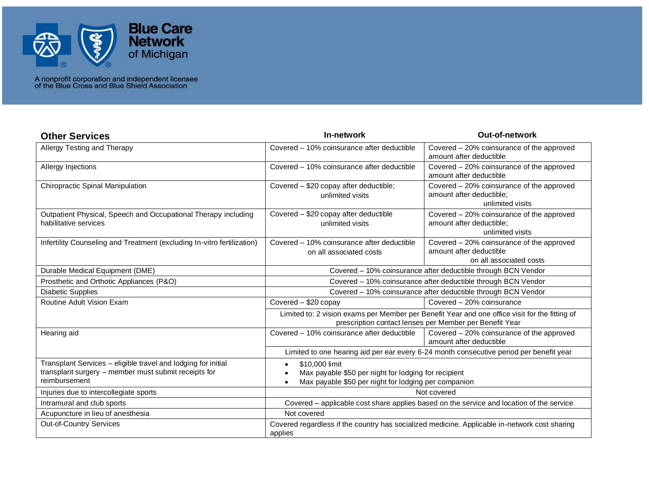

| <b>Other Services</b>                                                                                                                  | In-network                                                                                                                                                | <b>Out-of-network</b>                                                                           |
|----------------------------------------------------------------------------------------------------------------------------------------|-----------------------------------------------------------------------------------------------------------------------------------------------------------|-------------------------------------------------------------------------------------------------|
| Allergy Testing and Therapy                                                                                                            | Covered – 10% coinsurance after deductible                                                                                                                | Covered - 20% coinsurance of the approved<br>amount after deductible                            |
| Allergy Injections                                                                                                                     | Covered – 10% coinsurance after deductible                                                                                                                | Covered - 20% coinsurance of the approved<br>amount after deductible                            |
| Chiropractic Spinal Manipulation                                                                                                       | Covered - \$20 copay after deductible;<br>unlimited visits                                                                                                | Covered - 20% coinsurance of the approved<br>amount after deductible;<br>unlimited visits       |
| Outpatient Physical, Speech and Occupational Therapy including<br>habilitative services                                                | Covered - \$20 copay after deductible<br>unlimited visits                                                                                                 | Covered – 20% coinsurance of the approved<br>amount after deductible;<br>unlimited visits       |
| Infertility Counseling and Treatment (excluding In-vitro fertilization)                                                                | Covered – 10% coinsurance after deductible<br>on all associated costs                                                                                     | Covered – 20% coinsurance of the approved<br>amount after deductible<br>on all associated costs |
| Durable Medical Equipment (DME)                                                                                                        | Covered - 10% coinsurance after deductible through BCN Vendor                                                                                             |                                                                                                 |
| Prosthetic and Orthotic Appliances (P&O)                                                                                               | Covered - 10% coinsurance after deductible through BCN Vendor                                                                                             |                                                                                                 |
| <b>Diabetic Supplies</b>                                                                                                               | Covered - 10% coinsurance after deductible through BCN Vendor                                                                                             |                                                                                                 |
| Routine Adult Vision Exam                                                                                                              | Covered - \$20 copay                                                                                                                                      | Covered - 20% coinsurance                                                                       |
|                                                                                                                                        | Limited to: 2 vision exams per Member per Benefit Year and one office visit for the fitting of<br>prescription contact lenses per Member per Benefit Year |                                                                                                 |
| Hearing aid                                                                                                                            | Covered - 10% coinsurance after deductible                                                                                                                | Covered - 20% coinsurance of the approved<br>amount after deductible                            |
|                                                                                                                                        |                                                                                                                                                           | Limited to one hearing aid per ear every 6-24 month consecutive period per benefit year         |
| Transplant Services - eligible travel and lodging for initial<br>transplant surgery – member must submit receipts for<br>reimbursement | \$10,000 limit<br>Max payable \$50 per night for lodging for recipient<br>Max payable \$50 per night for lodging per companion                            |                                                                                                 |
| Injuries due to intercollegiate sports                                                                                                 | Not covered                                                                                                                                               |                                                                                                 |
| Intramural and club sports                                                                                                             | Covered - applicable cost share applies based on the service and location of the service                                                                  |                                                                                                 |
| Acupuncture in lieu of anesthesia                                                                                                      | Not covered                                                                                                                                               |                                                                                                 |
| <b>Out-of-Country Services</b>                                                                                                         | applies                                                                                                                                                   | Covered regardless if the country has socialized medicine. Applicable in-network cost sharing   |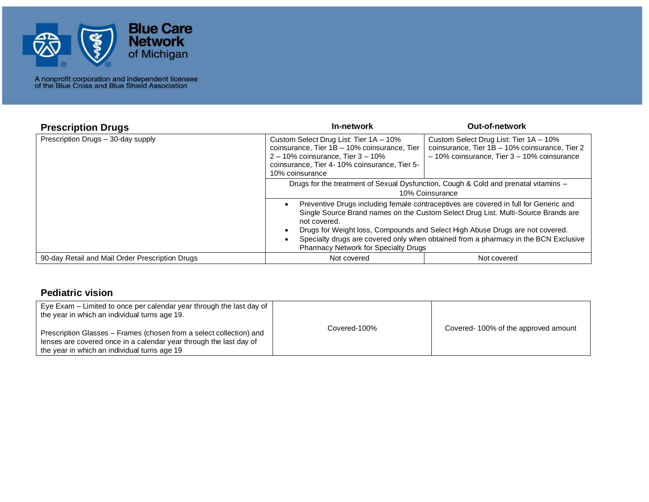

| <b>Prescription Drugs</b>                       | In-network                                                                                                                                                                                                                                                                                                                                                                                                | <b>Out-of-network</b> |
|-------------------------------------------------|-----------------------------------------------------------------------------------------------------------------------------------------------------------------------------------------------------------------------------------------------------------------------------------------------------------------------------------------------------------------------------------------------------------|-----------------------|
| Prescription Drugs - 30-day supply              | Custom Select Drug List: Tier 1A - 10%<br>coinsurance, Tier 1B - 10% coinsurance, Tier<br>$2 - 10\%$ coinsurance, Tier $3 - 10\%$<br>coinsurance, Tier 4-10% coinsurance, Tier 5-<br>10% coinsurance                                                                                                                                                                                                      |                       |
|                                                 | Drugs for the treatment of Sexual Dysfunction, Cough & Cold and prenatal vitamins -<br>10% Coinsurance                                                                                                                                                                                                                                                                                                    |                       |
|                                                 | Preventive Drugs including female contraceptives are covered in full for Generic and<br>Single Source Brand names on the Custom Select Drug List. Multi-Source Brands are<br>not covered.<br>Drugs for Weight loss, Compounds and Select High Abuse Drugs are not covered.<br>Specialty drugs are covered only when obtained from a pharmacy in the BCN Exclusive<br>Pharmacy Network for Specialty Drugs |                       |
| 90-day Retail and Mail Order Prescription Drugs | Not covered                                                                                                                                                                                                                                                                                                                                                                                               | Not covered           |

#### **Pediatric vision**

| Eye Exam – Limited to once per calendar year through the last day of<br>the year in which an individual turns age 19.                                                                     |              |                                     |
|-------------------------------------------------------------------------------------------------------------------------------------------------------------------------------------------|--------------|-------------------------------------|
| Prescription Glasses – Frames (chosen from a select collection) and<br>lenses are covered once in a calendar year through the last day of<br>the year in which an individual turns age 19 | Covered-100% | Covered-100% of the approved amount |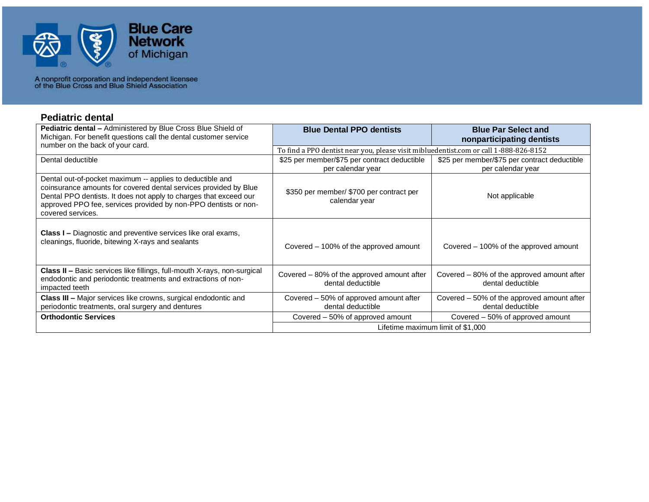

#### **Pediatric dental**

| Pediatric dental - Administered by Blue Cross Blue Shield of<br>Michigan. For benefit questions call the dental customer service<br>number on the back of your card.                                                                                                                       | <b>Blue Dental PPO dentists</b>                                                       | <b>Blue Par Select and</b><br>nonparticipating dentists           |  |
|--------------------------------------------------------------------------------------------------------------------------------------------------------------------------------------------------------------------------------------------------------------------------------------------|---------------------------------------------------------------------------------------|-------------------------------------------------------------------|--|
|                                                                                                                                                                                                                                                                                            | To find a PPO dentist near you, please visit mibluedentist.com or call 1-888-826-8152 |                                                                   |  |
| Dental deductible                                                                                                                                                                                                                                                                          | \$25 per member/\$75 per contract deductible<br>per calendar year                     | \$25 per member/\$75 per contract deductible<br>per calendar year |  |
| Dental out-of-pocket maximum -- applies to deductible and<br>coinsurance amounts for covered dental services provided by Blue<br>Dental PPO dentists. It does not apply to charges that exceed our<br>approved PPO fee, services provided by non-PPO dentists or non-<br>covered services. | \$350 per member/ \$700 per contract per<br>calendar year                             | Not applicable                                                    |  |
| <b>Class I –</b> Diagnostic and preventive services like oral exams,<br>cleanings, fluoride, bitewing X-rays and sealants                                                                                                                                                                  | Covered – 100% of the approved amount                                                 | Covered – 100% of the approved amount                             |  |
| <b>Class II - Basic services like fillings, full-mouth X-rays, non-surgical</b><br>endodontic and periodontic treatments and extractions of non-<br>impacted teeth                                                                                                                         | Covered – 80% of the approved amount after<br>dental deductible                       | Covered – 80% of the approved amount after<br>dental deductible   |  |
| <b>Class III - Major services like crowns, surgical endodontic and</b><br>periodontic treatments, oral surgery and dentures                                                                                                                                                                | Covered – 50% of approved amount after<br>dental deductible                           | Covered - 50% of the approved amount after<br>dental deductible   |  |
| <b>Orthodontic Services</b>                                                                                                                                                                                                                                                                | Covered – 50% of approved amount                                                      | Covered – 50% of approved amount                                  |  |
|                                                                                                                                                                                                                                                                                            | Lifetime maximum limit of \$1,000                                                     |                                                                   |  |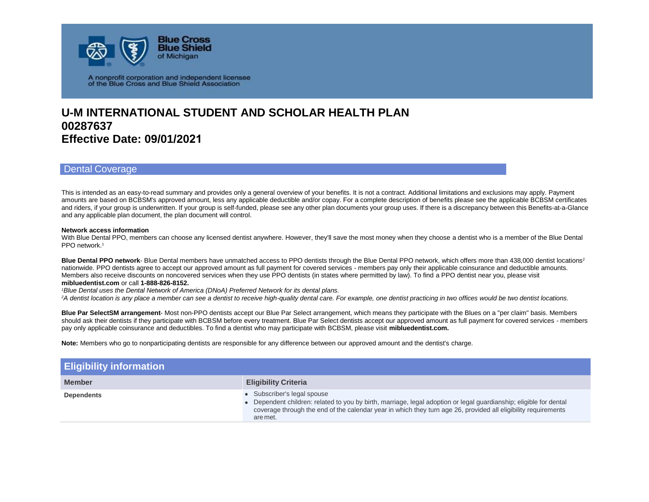

### **U-M INTERNATIONAL STUDENT AND SCHOLAR HEALTH PLAN 00287637 Effective Date: 09/01/2021**

#### Dental Coverage

This is intended as an easy-to-read summary and provides only a general overview of your benefits. It is not a contract. Additional limitations and exclusions may apply. Payment amounts are based on BCBSM's approved amount, less any applicable deductible and/or copay. For a complete description of benefits please see the applicable BCBSM certificates and riders, if your group is underwritten. If your group is self-funded, please see any other plan documents your group uses. If there is a discrepancy between this Benefits-at-a-Glance and any applicable plan document, the plan document will control.

#### **Network access information**

With Blue Dental PPO, members can choose any licensed dentist anywhere. However, they'll save the most money when they choose a dentist who is a member of the Blue Dental PPO network.<sup>1</sup>

**Blue Dental PPO network-** Blue Dental members have unmatched access to PPO dentists through the Blue Dental PPO network, which offers more than 438,000 dentist locations<sup>2</sup> nationwide. PPO dentists agree to accept our approved amount as full payment for covered services - members pay only their applicable coinsurance and deductible amounts. Members also receive discounts on noncovered services when they use PPO dentists (in states where permitted by law). To find a PPO dentist near you, please visit **mibluedentist.com** or call **1-888-826-8152.**

*<sup>1</sup>Blue Dental uses the Dental Network of America (DNoA) Preferred Network for its dental plans.*

*<sup>2</sup>A dentist location is any place a member can see a dentist to receive high-quality dental care. For example, one dentist practicing in two offices would be two dentist locations.*

**Blue Par SelectSM arrangement**- Most non-PPO dentists accept our Blue Par Select arrangement, which means they participate with the Blues on a "per claim" basis. Members should ask their dentists if they participate with BCBSM before every treatment. Blue Par Select dentists accept our approved amount as full payment for covered services - members pay only applicable coinsurance and deductibles. To find a dentist who may participate with BCBSM, please visit **mibluedentist.com.**

**Note:** Members who go to nonparticipating dentists are responsible for any difference between our approved amount and the dentist's charge.

| <b>Eligibility information</b> |                                                                                                                                                                                                                                                                                 |
|--------------------------------|---------------------------------------------------------------------------------------------------------------------------------------------------------------------------------------------------------------------------------------------------------------------------------|
| <b>Member</b>                  | <b>Eligibility Criteria</b>                                                                                                                                                                                                                                                     |
| <b>Dependents</b>              | • Subscriber's legal spouse<br>• Dependent children: related to you by birth, marriage, legal adoption or legal guardianship; eligible for dental<br>coverage through the end of the calendar year in which they turn age 26, provided all eligibility requirements<br>are met. |